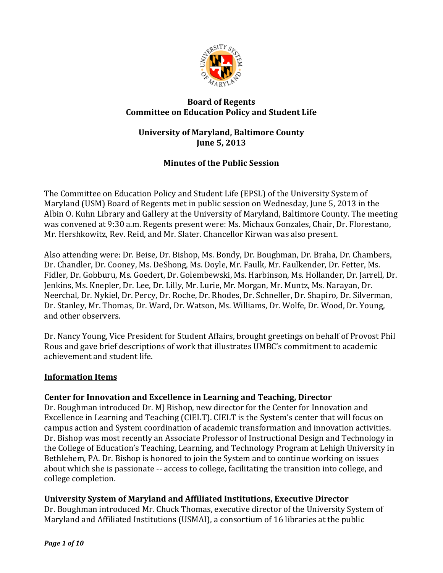

## **Board of Regents Committee on Education Policy and Student Life**

## **University of Maryland, Baltimore County June 5, 2013**

# **Minutes of the Public Session**

The Committee on Education Policy and Student Life (EPSL) of the University System of Maryland (USM) Board of Regents met in public session on Wednesday, June 5, 2013 in the Albin O. Kuhn Library and Gallery at the University of Maryland, Baltimore County. The meeting was convened at 9:30 a.m. Regents present were: Ms. Michaux Gonzales, Chair, Dr. Florestano, Mr. Hershkowitz, Rev. Reid, and Mr. Slater. Chancellor Kirwan was also present.

Also attending were: Dr. Beise, Dr. Bishop, Ms. Bondy, Dr. Boughman, Dr. Braha, Dr. Chambers, Dr. Chandler, Dr. Cooney, Ms. DeShong, Ms. Doyle, Mr. Faulk, Mr. Faulkender, Dr. Fetter, Ms. Fidler, Dr. Gobburu, Ms. Goedert, Dr. Golembewski, Ms. Harbinson, Ms. Hollander, Dr. Jarrell, Dr. Jenkins, Ms. Knepler, Dr. Lee, Dr. Lilly, Mr. Lurie, Mr. Morgan, Mr. Muntz, Ms. Narayan, Dr. Neerchal, Dr. Nykiel, Dr. Percy, Dr. Roche, Dr. Rhodes, Dr. Schneller, Dr. Shapiro, Dr. Silverman, Dr. Stanley, Mr. Thomas, Dr. Ward, Dr. Watson, Ms. Williams, Dr. Wolfe, Dr. Wood, Dr. Young, and other observers.

Dr. Nancy Young, Vice President for Student Affairs, brought greetings on behalf of Provost Phil Rous and gave brief descriptions of work that illustrates UMBC's commitment to academic achievement and student life.

## **Information Items**

# **Center for Innovation and Excellence in Learning and Teaching, Director**

Dr. Boughman introduced Dr. MJ Bishop, new director for the Center for Innovation and Excellence in Learning and Teaching (CIELT). CIELT is the System's center that will focus on campus action and System coordination of academic transformation and innovation activities. Dr. Bishop was most recently an Associate Professor of Instructional Design and Technology in the College of Education's Teaching, Learning, and Technology Program at Lehigh University in Bethlehem, PA. Dr. Bishop is honored to join the System and to continue working on issues about which she is passionate -- access to college, facilitating the transition into college, and college completion.

# **University System of Maryland and Affiliated Institutions, Executive Director**

Dr. Boughman introduced Mr. Chuck Thomas, executive director of the University System of Maryland and Affiliated Institutions (USMAI), a consortium of 16 libraries at the public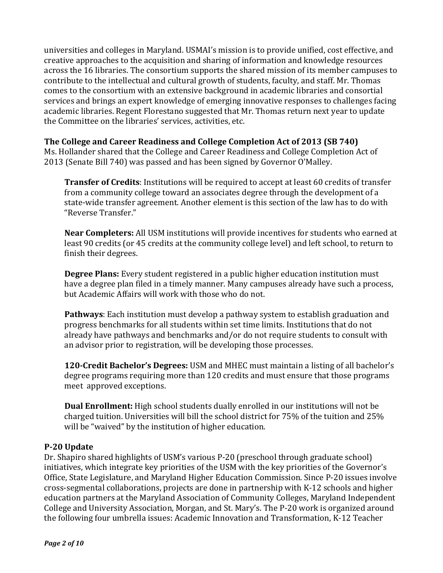universities and colleges in Maryland. USMAI's mission is to provide unified, cost effective, and creative approaches to the acquisition and sharing of information and knowledge resources across the 16 libraries. The consortium supports the shared mission of its member campuses to contribute to the intellectual and cultural growth of students, faculty, and staff. Mr. Thomas comes to the consortium with an extensive background in academic libraries and consortial services and brings an expert knowledge of emerging innovative responses to challenges facing academic libraries. Regent Florestano suggested that Mr. Thomas return next year to update the Committee on the libraries' services, activities, etc.

## **The College and Career Readiness and College Completion Act of 2013 (SB 740)**

Ms. Hollander shared that the College and Career Readiness and College Completion Act of 2013 (Senate Bill 740) was passed and has been signed by Governor O'Malley.

**Transfer of Credits**: Institutions will be required to accept at least 60 credits of transfer from a community college toward an associates degree through the development of a state-wide transfer agreement. Another element is this section of the law has to do with "Reverse Transfer."

**Near Completers:** All USM institutions will provide incentives for students who earned at least 90 credits (or 45 credits at the community college level) and left school, to return to finish their degrees.

**Degree Plans:** Every student registered in a public higher education institution must have a degree plan filed in a timely manner. Many campuses already have such a process, but Academic Affairs will work with those who do not.

**Pathways**: Each institution must develop a pathway system to establish graduation and progress benchmarks for all students within set time limits. Institutions that do not already have pathways and benchmarks and/or do not require students to consult with an advisor prior to registration, will be developing those processes.

**120-Credit Bachelor's Degrees:** USM and MHEC must maintain a listing of all bachelor's degree programs requiring more than 120 credits and must ensure that those programs meet approved exceptions.

**Dual Enrollment:** High school students dually enrolled in our institutions will not be charged tuition. Universities will bill the school district for  $75\%$  of the tuition and  $25\%$ will be "waived" by the institution of higher education.

#### **P-20 Update**

Dr. Shapiro shared highlights of USM's various P-20 (preschool through graduate school) initiatives, which integrate key priorities of the USM with the key priorities of the Governor's Office, State Legislature, and Maryland Higher Education Commission. Since P-20 issues involve cross-segmental collaborations, projects are done in partnership with K-12 schools and higher education partners at the Maryland Association of Community Colleges, Maryland Independent College and University Association, Morgan, and St. Mary's. The P-20 work is organized around the following four umbrella issues: Academic Innovation and Transformation, K-12 Teacher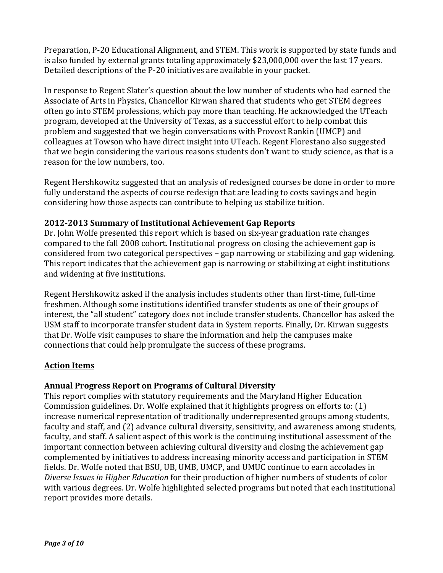Preparation, P-20 Educational Alignment, and STEM. This work is supported by state funds and is also funded by external grants totaling approximately \$23,000,000 over the last 17 years. Detailed descriptions of the P-20 initiatives are available in your packet.

In response to Regent Slater's question about the low number of students who had earned the Associate of Arts in Physics, Chancellor Kirwan shared that students who get STEM degrees often go into STEM professions, which pay more than teaching. He acknowledged the UTeach program, developed at the University of Texas, as a successful effort to help combat this problem and suggested that we begin conversations with Provost Rankin (UMCP) and colleagues at Towson who have direct insight into UTeach. Regent Florestano also suggested that we begin considering the various reasons students don't want to study science, as that is a reason for the low numbers, too.

Regent Hershkowitz suggested that an analysis of redesigned courses be done in order to more fully understand the aspects of course redesign that are leading to costs savings and begin considering how those aspects can contribute to helping us stabilize tuition.

## **2012-2013 Summary of Institutional Achievement Gap Reports**

Dr. John Wolfe presented this report which is based on six-year graduation rate changes compared to the fall 2008 cohort. Institutional progress on closing the achievement gap is considered from two categorical perspectives – gap narrowing or stabilizing and gap widening. This report indicates that the achievement gap is narrowing or stabilizing at eight institutions and widening at five institutions.

Regent Hershkowitz asked if the analysis includes students other than first-time, full-time freshmen. Although some institutions identified transfer students as one of their groups of interest, the "all student" category does not include transfer students. Chancellor has asked the USM staff to incorporate transfer student data in System reports. Finally, Dr. Kirwan suggests that Dr. Wolfe visit campuses to share the information and help the campuses make connections that could help promulgate the success of these programs.

# **Action Items**

# **Annual Progress Report on Programs of Cultural Diversity**

This report complies with statutory requirements and the Maryland Higher Education Commission guidelines. Dr. Wolfe explained that it highlights progress on efforts to:  $(1)$ increase numerical representation of traditionally underrepresented groups among students, faculty and staff, and (2) advance cultural diversity, sensitivity, and awareness among students, faculty, and staff. A salient aspect of this work is the continuing institutional assessment of the important connection between achieving cultural diversity and closing the achievement gap complemented by initiatives to address increasing minority access and participation in STEM fields. Dr. Wolfe noted that BSU, UB, UMB, UMCP, and UMUC continue to earn accolades in Diverse Issues in Higher Education for their production of higher numbers of students of color with various degrees. Dr. Wolfe highlighted selected programs but noted that each institutional report provides more details.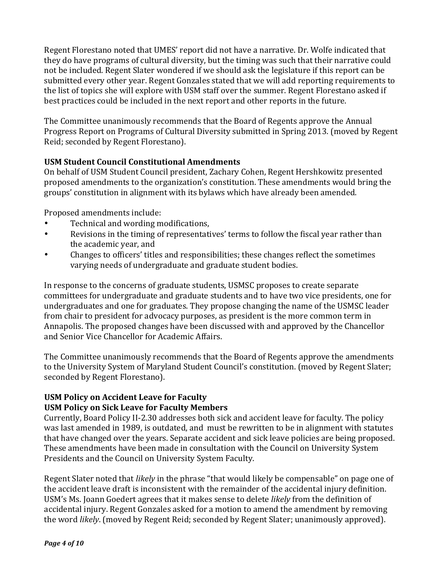Regent Florestano noted that UMES' report did not have a narrative. Dr. Wolfe indicated that they do have programs of cultural diversity, but the timing was such that their narrative could not be included. Regent Slater wondered if we should ask the legislature if this report can be submitted every other year. Regent Gonzales stated that we will add reporting requirements to the list of topics she will explore with USM staff over the summer. Regent Florestano asked if best practices could be included in the next report and other reports in the future.

The Committee unanimously recommends that the Board of Regents approve the Annual Progress Report on Programs of Cultural Diversity submitted in Spring 2013. (moved by Regent Reid; seconded by Regent Florestano).

## **USM Student Council Constitutional Amendments**

On behalf of USM Student Council president, Zachary Cohen, Regent Hershkowitz presented proposed amendments to the organization's constitution. These amendments would bring the groups' constitution in alignment with its bylaws which have already been amended.

Proposed amendments include:

- Technical and wording modifications,
- Revisions in the timing of representatives' terms to follow the fiscal year rather than the academic year, and
- Changes to officers' titles and responsibilities; these changes reflect the sometimes varying needs of undergraduate and graduate student bodies.

In response to the concerns of graduate students, USMSC proposes to create separate committees for undergraduate and graduate students and to have two vice presidents, one for undergraduates and one for graduates. They propose changing the name of the USMSC leader from chair to president for advocacy purposes, as president is the more common term in Annapolis. The proposed changes have been discussed with and approved by the Chancellor and Senior Vice Chancellor for Academic Affairs.

The Committee unanimously recommends that the Board of Regents approve the amendments to the University System of Maryland Student Council's constitution. (moved by Regent Slater; seconded by Regent Florestano).

## **USM Policy on Accident Leave for Faculty USM Policy on Sick Leave for Faculty Members**

Currently, Board Policy II-2.30 addresses both sick and accident leave for faculty. The policy was last amended in 1989, is outdated, and must be rewritten to be in alignment with statutes that have changed over the years. Separate accident and sick leave policies are being proposed. These amendments have been made in consultation with the Council on University System Presidents and the Council on University System Faculty.

Regent Slater noted that *likely* in the phrase "that would likely be compensable" on page one of the accident leave draft is inconsistent with the remainder of the accidental injury definition. USM's Ms. Joann Goedert agrees that it makes sense to delete *likely* from the definition of accidental injury. Regent Gonzales asked for a motion to amend the amendment by removing the word *likely*. (moved by Regent Reid; seconded by Regent Slater; unanimously approved).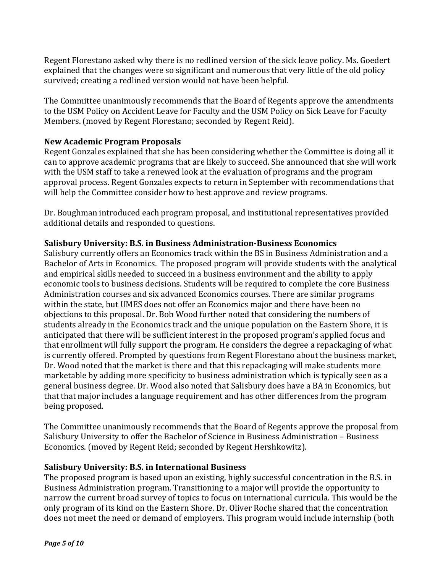Regent Florestano asked why there is no redlined version of the sick leave policy. Ms. Goedert explained that the changes were so significant and numerous that very little of the old policy survived; creating a redlined version would not have been helpful.

The Committee unanimously recommends that the Board of Regents approve the amendments to the USM Policy on Accident Leave for Faculty and the USM Policy on Sick Leave for Faculty Members. (moved by Regent Florestano; seconded by Regent Reid).

## **New Academic Program Proposals**

Regent Gonzales explained that she has been considering whether the Committee is doing all it can to approve academic programs that are likely to succeed. She announced that she will work with the USM staff to take a renewed look at the evaluation of programs and the program approval process. Regent Gonzales expects to return in September with recommendations that will help the Committee consider how to best approve and review programs.

Dr. Boughman introduced each program proposal, and institutional representatives provided additional details and responded to questions.

#### **Salisbury University: B.S. in Business Administration-Business Economics**

Salisbury currently offers an Economics track within the BS in Business Administration and a Bachelor of Arts in Economics. The proposed program will provide students with the analytical and empirical skills needed to succeed in a business environment and the ability to apply economic tools to business decisions. Students will be required to complete the core Business Administration courses and six advanced Economics courses. There are similar programs within the state, but UMES does not offer an Economics major and there have been no objections to this proposal. Dr. Bob Wood further noted that considering the numbers of students already in the Economics track and the unique population on the Eastern Shore, it is anticipated that there will be sufficient interest in the proposed program's applied focus and that enrollment will fully support the program. He considers the degree a repackaging of what is currently offered. Prompted by questions from Regent Florestano about the business market, Dr. Wood noted that the market is there and that this repackaging will make students more marketable by adding more specificity to business administration which is typically seen as a general business degree. Dr. Wood also noted that Salisbury does have a BA in Economics, but that that major includes a language requirement and has other differences from the program being proposed.

The Committee unanimously recommends that the Board of Regents approve the proposal from Salisbury University to offer the Bachelor of Science in Business Administration – Business Economics. (moved by Regent Reid; seconded by Regent Hershkowitz).

## **Salisbury University: B.S. in International Business**

The proposed program is based upon an existing, highly successful concentration in the B.S. in Business Administration program. Transitioning to a major will provide the opportunity to narrow the current broad survey of topics to focus on international curricula. This would be the only program of its kind on the Eastern Shore. Dr. Oliver Roche shared that the concentration does not meet the need or demand of employers. This program would include internship (both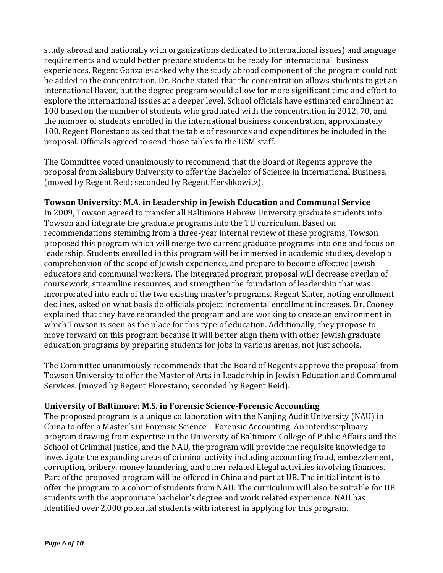study abroad and nationally with organizations dedicated to international issues) and language requirements and would better prepare students to be ready for international business experiences. Regent Gonzales asked why the study abroad component of the program could not be added to the concentration. Dr. Roche stated that the concentration allows students to get an international flavor, but the degree program would allow for more significant time and effort to explore the international issues at a deeper level. School officials have estimated enrollment at 100 based on the number of students who graduated with the concentration in 2012, 70, and the number of students enrolled in the international business concentration, approximately 100. Regent Florestano asked that the table of resources and expenditures be included in the proposal. Officials agreed to send those tables to the USM staff.

The Committee voted unanimously to recommend that the Board of Regents approve the proposal from Salisbury University to offer the Bachelor of Science in International Business. (moved by Regent Reid; seconded by Regent Hershkowitz).

## **Towson University: M.A. in Leadership in Jewish Education and Communal Service**

In 2009, Towson agreed to transfer all Baltimore Hebrew University graduate students into Towson and integrate the graduate programs into the TU curriculum. Based on recommendations stemming from a three-year internal review of these programs, Towson proposed this program which will merge two current graduate programs into one and focus on leadership. Students enrolled in this program will be immersed in academic studies, develop a comprehension of the scope of Jewish experience, and prepare to become effective Jewish educators and communal workers. The integrated program proposal will decrease overlap of coursework, streamline resources, and strengthen the foundation of leadership that was incorporated into each of the two existing master's programs. Regent Slater, noting enrollment declines, asked on what basis do officials project incremental enrollment increases. Dr. Cooney explained that they have rebranded the program and are working to create an environment in which Towson is seen as the place for this type of education. Additionally, they propose to move forward on this program because it will better align them with other Jewish graduate education programs by preparing students for jobs in various arenas, not just schools.

The Committee unanimously recommends that the Board of Regents approve the proposal from Towson University to offer the Master of Arts in Leadership in Jewish Education and Communal Services. (moved by Regent Florestano; seconded by Regent Reid).

#### **University of Baltimore: M.S. in Forensic Science-Forensic Accounting**

The proposed program is a unique collaboration with the Nanjing Audit University (NAU) in China to offer a Master's in Forensic Science – Forensic Accounting. An interdisciplinary program drawing from expertise in the University of Baltimore College of Public Affairs and the School of Criminal Justice, and the NAU, the program will provide the requisite knowledge to investigate the expanding areas of criminal activity including accounting fraud, embezzlement, corruption, bribery, money laundering, and other related illegal activities involving finances. Part of the proposed program will be offered in China and part at UB. The initial intent is to offer the program to a cohort of students from NAU. The curriculum will also be suitable for UB students with the appropriate bachelor's degree and work related experience. NAU has identified over 2,000 potential students with interest in applying for this program.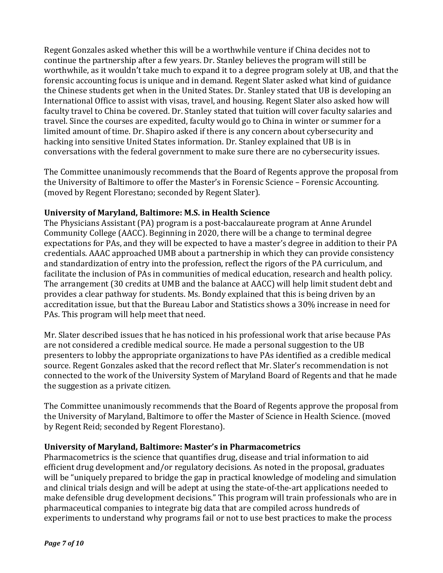Regent Gonzales asked whether this will be a worthwhile venture if China decides not to continue the partnership after a few years. Dr. Stanley believes the program will still be worthwhile, as it wouldn't take much to expand it to a degree program solely at UB, and that the forensic accounting focus is unique and in demand. Regent Slater asked what kind of guidance the Chinese students get when in the United States. Dr. Stanley stated that UB is developing an International Office to assist with visas, travel, and housing. Regent Slater also asked how will faculty travel to China be covered. Dr. Stanley stated that tuition will cover faculty salaries and travel. Since the courses are expedited, faculty would go to China in winter or summer for a limited amount of time. Dr. Shapiro asked if there is any concern about cybersecurity and hacking into sensitive United States information. Dr. Stanley explained that UB is in conversations with the federal government to make sure there are no cybersecurity issues.

The Committee unanimously recommends that the Board of Regents approve the proposal from the University of Baltimore to offer the Master's in Forensic Science - Forensic Accounting. (moved by Regent Florestano; seconded by Regent Slater).

## **University of Maryland, Baltimore: M.S. in Health Science**

The Physicians Assistant (PA) program is a post-baccalaureate program at Anne Arundel Community College (AACC). Beginning in 2020, there will be a change to terminal degree expectations for PAs, and they will be expected to have a master's degree in addition to their PA credentials. AAAC approached UMB about a partnership in which they can provide consistency and standardization of entry into the profession, reflect the rigors of the PA curriculum, and facilitate the inclusion of PAs in communities of medical education, research and health policy. The arrangement (30 credits at UMB and the balance at AACC) will help limit student debt and provides a clear pathway for students. Ms. Bondy explained that this is being driven by an accreditation issue, but that the Bureau Labor and Statistics shows a 30% increase in need for PAs. This program will help meet that need.

Mr. Slater described issues that he has noticed in his professional work that arise because PAs are not considered a credible medical source. He made a personal suggestion to the UB presenters to lobby the appropriate organizations to have PAs identified as a credible medical source. Regent Gonzales asked that the record reflect that Mr. Slater's recommendation is not connected to the work of the University System of Maryland Board of Regents and that he made the suggestion as a private citizen.

The Committee unanimously recommends that the Board of Regents approve the proposal from the University of Maryland, Baltimore to offer the Master of Science in Health Science. (moved by Regent Reid; seconded by Regent Florestano).

## **University of Maryland, Baltimore: Master's in Pharmacometrics**

Pharmacometrics is the science that quantifies drug, disease and trial information to aid efficient drug development and/or regulatory decisions. As noted in the proposal, graduates will be "uniquely prepared to bridge the gap in practical knowledge of modeling and simulation and clinical trials design and will be adept at using the state-of-the-art applications needed to make defensible drug development decisions." This program will train professionals who are in pharmaceutical companies to integrate big data that are compiled across hundreds of experiments to understand why programs fail or not to use best practices to make the process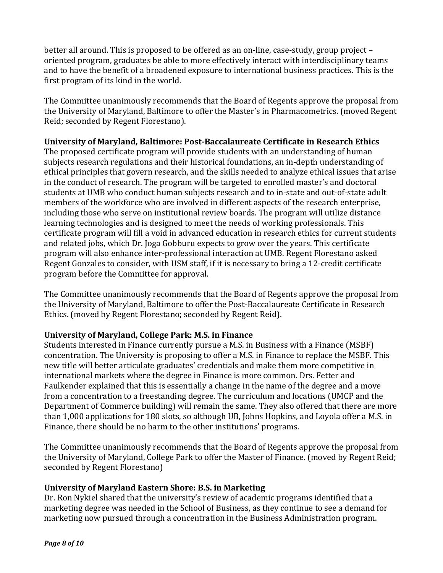better all around. This is proposed to be offered as an on-line, case-study, group project  $$ oriented program, graduates be able to more effectively interact with interdisciplinary teams and to have the benefit of a broadened exposure to international business practices. This is the first program of its kind in the world.

The Committee unanimously recommends that the Board of Regents approve the proposal from the University of Maryland, Baltimore to offer the Master's in Pharmacometrics. (moved Regent Reid; seconded by Regent Florestano).

## **University of Maryland, Baltimore: Post-Baccalaureate Certificate in Research Ethics**

The proposed certificate program will provide students with an understanding of human subjects research regulations and their historical foundations, an in-depth understanding of ethical principles that govern research, and the skills needed to analyze ethical issues that arise in the conduct of research. The program will be targeted to enrolled master's and doctoral students at UMB who conduct human subjects research and to in-state and out-of-state adult members of the workforce who are involved in different aspects of the research enterprise, including those who serve on institutional review boards. The program will utilize distance learning technologies and is designed to meet the needs of working professionals. This certificate program will fill a void in advanced education in research ethics for current students and related iobs, which Dr. Joga Gobburu expects to grow over the vears. This certificate program will also enhance inter-professional interaction at UMB. Regent Florestano asked Regent Gonzales to consider, with USM staff, if it is necessary to bring a 12-credit certificate program before the Committee for approval.

The Committee unanimously recommends that the Board of Regents approve the proposal from the University of Maryland, Baltimore to offer the Post-Baccalaureate Certificate in Research Ethics. (moved by Regent Florestano; seconded by Regent Reid).

# **University of Maryland, College Park: M.S. in Finance**

Students interested in Finance currently pursue a M.S. in Business with a Finance (MSBF) concentration. The University is proposing to offer a M.S. in Finance to replace the MSBF. This new title will better articulate graduates' credentials and make them more competitive in international markets where the degree in Finance is more common. Drs. Fetter and Faulkender explained that this is essentially a change in the name of the degree and a move from a concentration to a freestanding degree. The curriculum and locations (UMCP and the Department of Commerce building) will remain the same. They also offered that there are more than 1,000 applications for 180 slots, so although UB, Johns Hopkins, and Loyola offer a M.S. in Finance, there should be no harm to the other institutions' programs.

The Committee unanimously recommends that the Board of Regents approve the proposal from the University of Maryland, College Park to offer the Master of Finance. (moved by Regent Reid; seconded by Regent Florestano)

## **University of Maryland Eastern Shore: B.S. in Marketing**

Dr. Ron Nykiel shared that the university's review of academic programs identified that a marketing degree was needed in the School of Business, as they continue to see a demand for marketing now pursued through a concentration in the Business Administration program.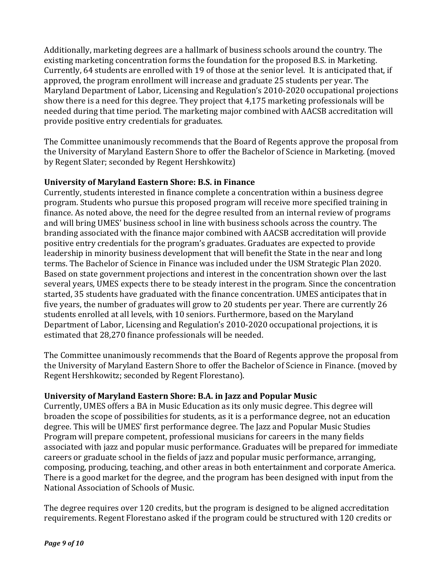Additionally, marketing degrees are a hallmark of business schools around the country. The existing marketing concentration forms the foundation for the proposed B.S. in Marketing. Currently, 64 students are enrolled with 19 of those at the senior level. It is anticipated that, if approved, the program enrollment will increase and graduate 25 students per year. The Maryland Department of Labor, Licensing and Regulation's 2010-2020 occupational projections show there is a need for this degree. They project that 4,175 marketing professionals will be needed during that time period. The marketing major combined with AACSB accreditation will provide positive entry credentials for graduates.

The Committee unanimously recommends that the Board of Regents approve the proposal from the University of Maryland Eastern Shore to offer the Bachelor of Science in Marketing. (moved by Regent Slater; seconded by Regent Hershkowitz)

## **University of Maryland Eastern Shore: B.S. in Finance**

Currently, students interested in finance complete a concentration within a business degree program. Students who pursue this proposed program will receive more specified training in finance. As noted above, the need for the degree resulted from an internal review of programs and will bring UMES' business school in line with business schools across the country. The branding associated with the finance major combined with AACSB accreditation will provide positive entry credentials for the program's graduates. Graduates are expected to provide leadership in minority business development that will benefit the State in the near and long terms. The Bachelor of Science in Finance was included under the USM Strategic Plan 2020. Based on state government projections and interest in the concentration shown over the last several years, UMES expects there to be steady interest in the program. Since the concentration started, 35 students have graduated with the finance concentration. UMES anticipates that in five years, the number of graduates will grow to 20 students per year. There are currently  $26$ students enrolled at all levels, with 10 seniors. Furthermore, based on the Maryland Department of Labor, Licensing and Regulation's 2010-2020 occupational projections, it is estimated that 28,270 finance professionals will be needed.

The Committee unanimously recommends that the Board of Regents approve the proposal from the University of Maryland Eastern Shore to offer the Bachelor of Science in Finance. (moved by Regent Hershkowitz; seconded by Regent Florestano).

## **University of Maryland Eastern Shore: B.A. in Jazz and Popular Music**

Currently, UMES offers a BA in Music Education as its only music degree. This degree will broaden the scope of possibilities for students, as it is a performance degree, not an education degree. This will be UMES' first performance degree. The Jazz and Popular Music Studies Program will prepare competent, professional musicians for careers in the many fields associated with jazz and popular music performance. Graduates will be prepared for immediate careers or graduate school in the fields of jazz and popular music performance, arranging, composing, producing, teaching, and other areas in both entertainment and corporate America. There is a good market for the degree, and the program has been designed with input from the National Association of Schools of Music.

The degree requires over 120 credits, but the program is designed to be aligned accreditation requirements. Regent Florestano asked if the program could be structured with 120 credits or